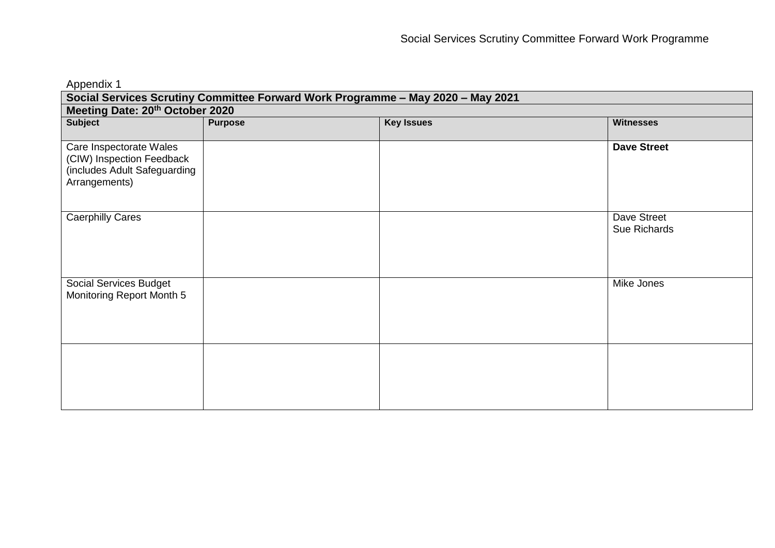| Appendix 1                                                                                            |                |                   |                             |  |
|-------------------------------------------------------------------------------------------------------|----------------|-------------------|-----------------------------|--|
| Social Services Scrutiny Committee Forward Work Programme - May 2020 - May 2021                       |                |                   |                             |  |
| Meeting Date: 20th October 2020                                                                       |                |                   |                             |  |
| <b>Subject</b>                                                                                        | <b>Purpose</b> | <b>Key Issues</b> | <b>Witnesses</b>            |  |
| Care Inspectorate Wales<br>(CIW) Inspection Feedback<br>(includes Adult Safeguarding<br>Arrangements) |                |                   | <b>Dave Street</b>          |  |
| <b>Caerphilly Cares</b>                                                                               |                |                   | Dave Street<br>Sue Richards |  |
| Social Services Budget<br>Monitoring Report Month 5                                                   |                |                   | Mike Jones                  |  |
|                                                                                                       |                |                   |                             |  |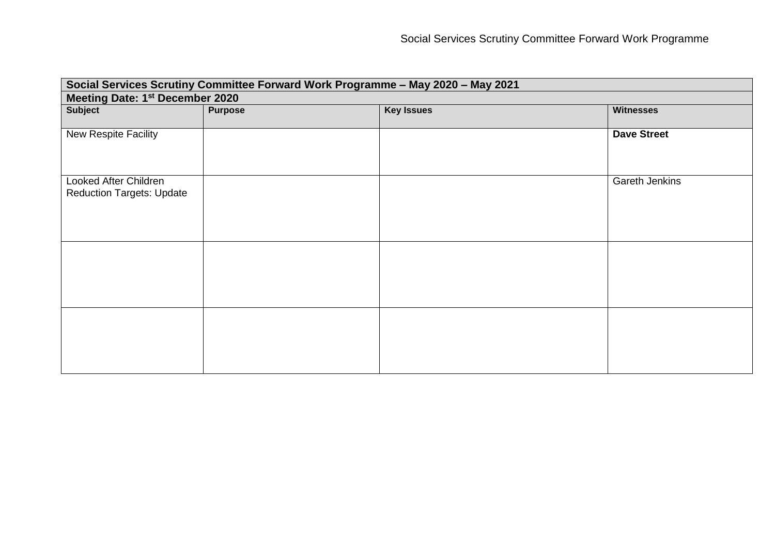| Social Services Scrutiny Committee Forward Work Programme - May 2020 - May 2021 |                |                   |                    |
|---------------------------------------------------------------------------------|----------------|-------------------|--------------------|
| Meeting Date: 1st December 2020                                                 |                |                   |                    |
| <b>Subject</b>                                                                  | <b>Purpose</b> | <b>Key Issues</b> | <b>Witnesses</b>   |
|                                                                                 |                |                   |                    |
| New Respite Facility                                                            |                |                   | <b>Dave Street</b> |
|                                                                                 |                |                   |                    |
|                                                                                 |                |                   |                    |
| Looked After Children                                                           |                |                   | Gareth Jenkins     |
| <b>Reduction Targets: Update</b>                                                |                |                   |                    |
|                                                                                 |                |                   |                    |
|                                                                                 |                |                   |                    |
|                                                                                 |                |                   |                    |
|                                                                                 |                |                   |                    |
|                                                                                 |                |                   |                    |
|                                                                                 |                |                   |                    |
|                                                                                 |                |                   |                    |
|                                                                                 |                |                   |                    |
|                                                                                 |                |                   |                    |
|                                                                                 |                |                   |                    |
|                                                                                 |                |                   |                    |
|                                                                                 |                |                   |                    |
|                                                                                 |                |                   |                    |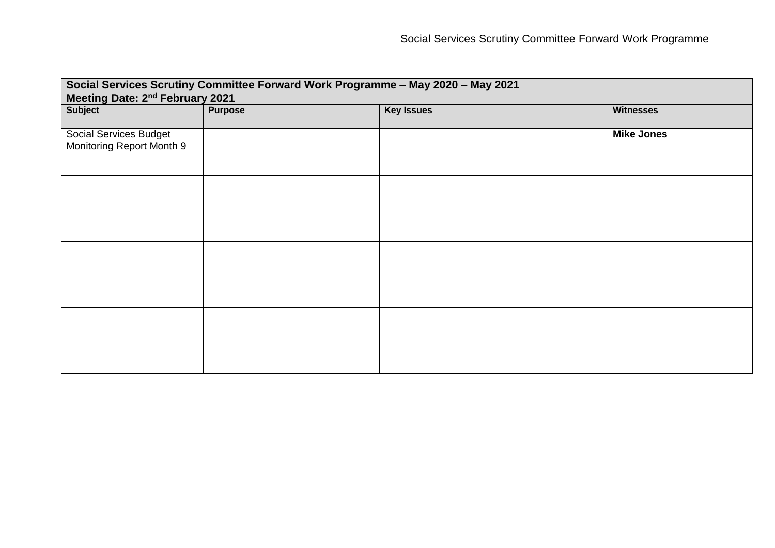| Social Services Scrutiny Committee Forward Work Programme - May 2020 - May 2021 |                |                   |                   |
|---------------------------------------------------------------------------------|----------------|-------------------|-------------------|
| Meeting Date: 2nd February 2021                                                 |                |                   |                   |
| <b>Subject</b>                                                                  | <b>Purpose</b> | <b>Key Issues</b> | <b>Witnesses</b>  |
|                                                                                 |                |                   |                   |
| Social Services Budget                                                          |                |                   | <b>Mike Jones</b> |
| Monitoring Report Month 9                                                       |                |                   |                   |
|                                                                                 |                |                   |                   |
|                                                                                 |                |                   |                   |
|                                                                                 |                |                   |                   |
|                                                                                 |                |                   |                   |
|                                                                                 |                |                   |                   |
|                                                                                 |                |                   |                   |
|                                                                                 |                |                   |                   |
|                                                                                 |                |                   |                   |
|                                                                                 |                |                   |                   |
|                                                                                 |                |                   |                   |
|                                                                                 |                |                   |                   |
|                                                                                 |                |                   |                   |
|                                                                                 |                |                   |                   |
|                                                                                 |                |                   |                   |
|                                                                                 |                |                   |                   |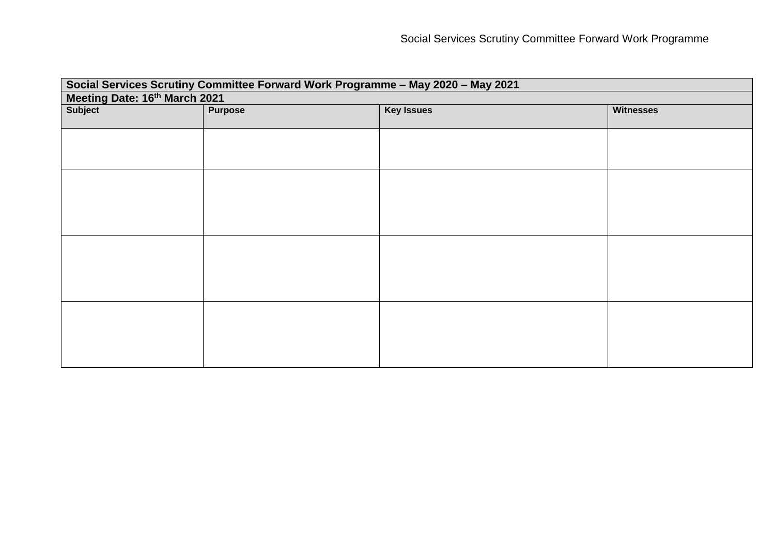| Social Services Scrutiny Committee Forward Work Programme - May 2020 - May 2021 |                |                   |                  |
|---------------------------------------------------------------------------------|----------------|-------------------|------------------|
| Meeting Date: 16th March 2021                                                   |                |                   |                  |
| Subject                                                                         | <b>Purpose</b> | <b>Key Issues</b> | <b>Witnesses</b> |
|                                                                                 |                |                   |                  |
|                                                                                 |                |                   |                  |
|                                                                                 |                |                   |                  |
|                                                                                 |                |                   |                  |
|                                                                                 |                |                   |                  |
|                                                                                 |                |                   |                  |
|                                                                                 |                |                   |                  |
|                                                                                 |                |                   |                  |
|                                                                                 |                |                   |                  |
|                                                                                 |                |                   |                  |
|                                                                                 |                |                   |                  |
|                                                                                 |                |                   |                  |
|                                                                                 |                |                   |                  |
|                                                                                 |                |                   |                  |
|                                                                                 |                |                   |                  |
|                                                                                 |                |                   |                  |
|                                                                                 |                |                   |                  |
|                                                                                 |                |                   |                  |
|                                                                                 |                |                   |                  |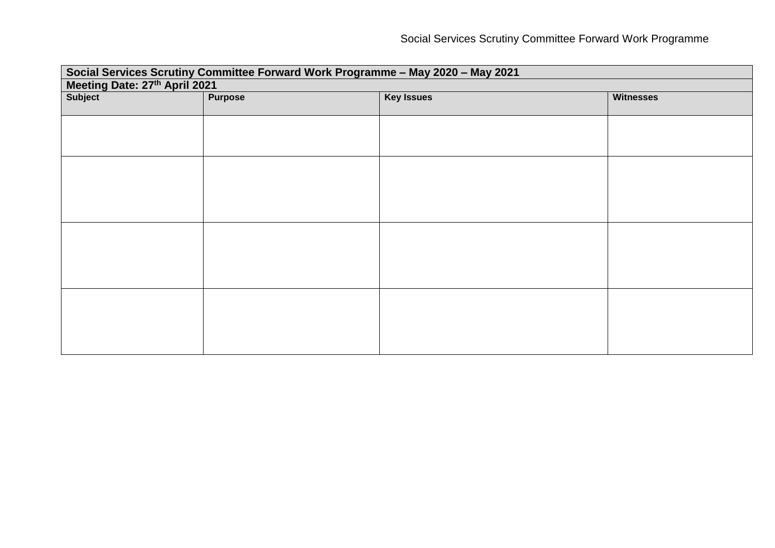| Social Services Scrutiny Committee Forward Work Programme - May 2020 - May 2021 |                |                   |                  |
|---------------------------------------------------------------------------------|----------------|-------------------|------------------|
| Meeting Date: 27th April 2021                                                   |                |                   |                  |
| Subject                                                                         | <b>Purpose</b> | <b>Key Issues</b> | <b>Witnesses</b> |
|                                                                                 |                |                   |                  |
|                                                                                 |                |                   |                  |
|                                                                                 |                |                   |                  |
|                                                                                 |                |                   |                  |
|                                                                                 |                |                   |                  |
|                                                                                 |                |                   |                  |
|                                                                                 |                |                   |                  |
|                                                                                 |                |                   |                  |
|                                                                                 |                |                   |                  |
|                                                                                 |                |                   |                  |
|                                                                                 |                |                   |                  |
|                                                                                 |                |                   |                  |
|                                                                                 |                |                   |                  |
|                                                                                 |                |                   |                  |
|                                                                                 |                |                   |                  |
|                                                                                 |                |                   |                  |
|                                                                                 |                |                   |                  |
|                                                                                 |                |                   |                  |